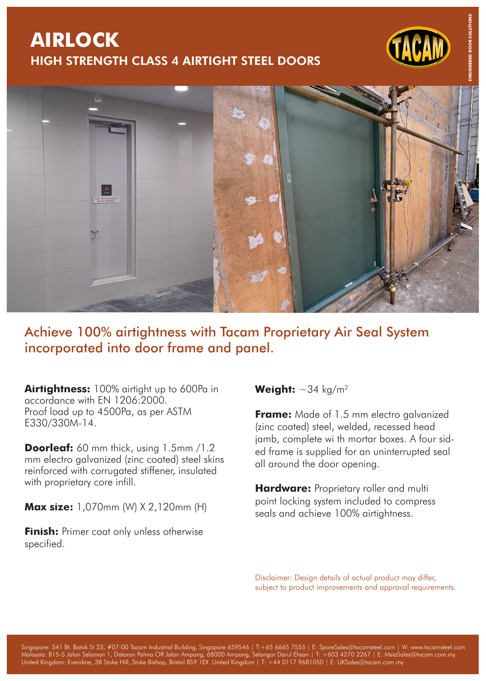## **AIRLOCK** HIGH STRENGTH CLASS 4 AIRTIGHT STEEL DOORS



## Achieve 100% airtightness with Tacam Proprietary Air Seal System incorporated into door frame and panel.

**Airtightness:** 100% airtight up to 600Pa in accordance with EN 1206:2000. Proof load up to 4500Pa, as per ASTM E330/330M-14.

**Doorleaf:** 60 mm thick, using 1.5mm /1.2 mm electro galvanized (zinc coated) steel skins reinforced with corrugated stiffener, insulated with proprietary core infill.

**Max size:** 1,070mm (W) X 2,120mm (H)

**Finish:** Primer coat only unless otherwise specified.

## **Weight:**  $\sim$ 34 kg/m<sup>2</sup>

**Frame:** Made of 1.5 mm electro galvanized (zinc coated) steel, welded, recessed head jamb, complete wi th mortar boxes. A four sided frame is supplied for an uninterrupted seal all around the door opening.

**Hardware:** Proprietary roller and multi point locking system included to compress seals and achieve 100% airtightness.

Disclaimer: Design details of actual product may differ, subject to product improvements and approval requirements.

Singapore: 541 Bt. Batok St 23, #07-00 Tacam Industrial Building, Singapore 659546 | T:+65 6665 7555 | E: SporeSales@tacamsteel.com | W: www.tacamsteel.com Malaysia: B15-5 Jalan Selaman 1, Dataran Palma Off Jalan Ampang, 68000 Ampang, Selangor Darul Ehsan | T: +603 4270 2267 | E: MsiaSales@tacam.com.my United Kingdom: Evendine, 38 Stoke Hill, Stoke Bishop, Bristol BS9 1EX United Kingdom | T: +44 0117 9681050 | E: UKSales@tacam.com.my